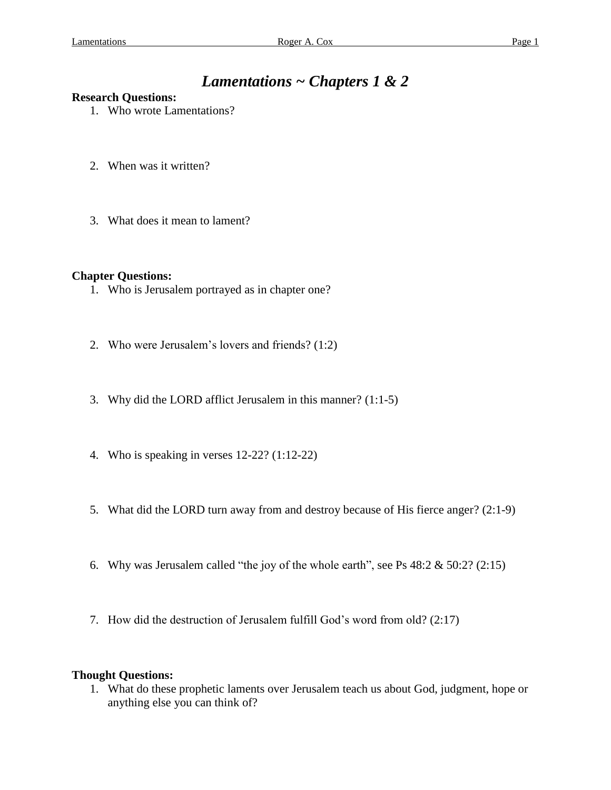# *Lamentations ~ Chapters 1 & 2*

### **Research Questions:**

- 1. Who wrote Lamentations?
- 2. When was it written?
- 3. What does it mean to lament?

### **Chapter Questions:**

- 1. Who is Jerusalem portrayed as in chapter one?
- 2. Who were Jerusalem's lovers and friends? (1:2)
- 3. Why did the LORD afflict Jerusalem in this manner? (1:1-5)
- 4. Who is speaking in verses 12-22? (1:12-22)
- 5. What did the LORD turn away from and destroy because of His fierce anger? (2:1-9)
- 6. Why was Jerusalem called "the joy of the whole earth", see Ps  $48:2 \& 50:2$ ? (2:15)
- 7. How did the destruction of Jerusalem fulfill God's word from old? (2:17)

### **Thought Questions:**

1. What do these prophetic laments over Jerusalem teach us about God, judgment, hope or anything else you can think of?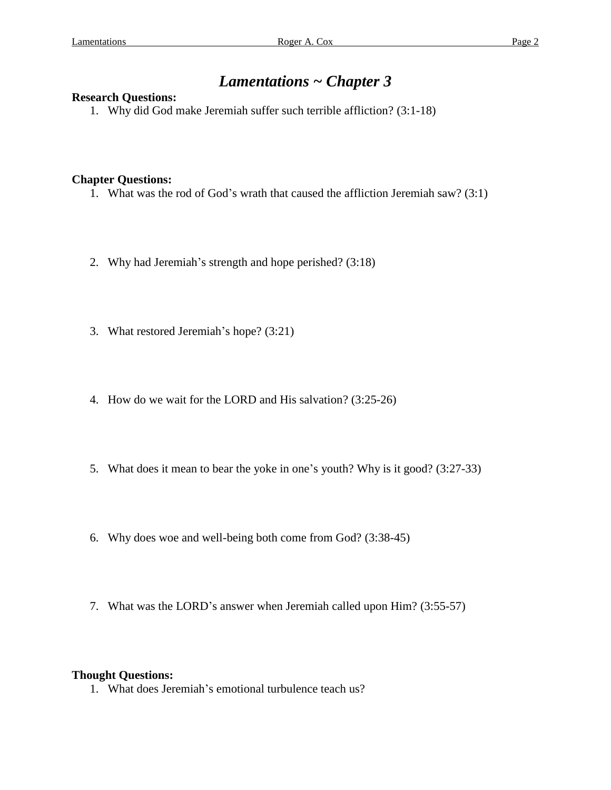## *Lamentations ~ Chapter 3*

### **Research Questions:**

1. Why did God make Jeremiah suffer such terrible affliction? (3:1-18)

### **Chapter Questions:**

- 1. What was the rod of God's wrath that caused the affliction Jeremiah saw? (3:1)
- 2. Why had Jeremiah's strength and hope perished? (3:18)
- 3. What restored Jeremiah's hope? (3:21)
- 4. How do we wait for the LORD and His salvation? (3:25-26)
- 5. What does it mean to bear the yoke in one's youth? Why is it good? (3:27-33)
- 6. Why does woe and well-being both come from God? (3:38-45)
- 7. What was the LORD's answer when Jeremiah called upon Him? (3:55-57)

### **Thought Questions:**

1. What does Jeremiah's emotional turbulence teach us?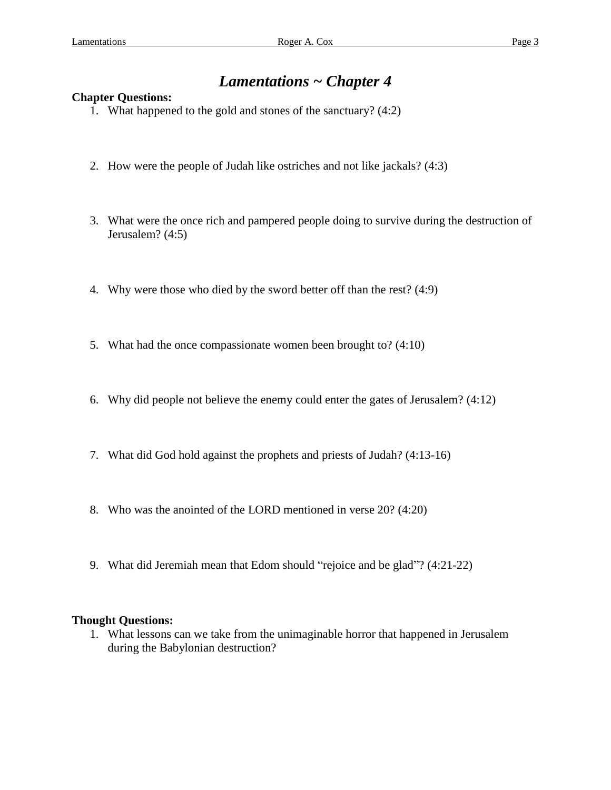## *Lamentations ~ Chapter 4*

### **Chapter Questions:**

- 1. What happened to the gold and stones of the sanctuary? (4:2)
- 2. How were the people of Judah like ostriches and not like jackals? (4:3)
- 3. What were the once rich and pampered people doing to survive during the destruction of Jerusalem? (4:5)
- 4. Why were those who died by the sword better off than the rest? (4:9)
- 5. What had the once compassionate women been brought to? (4:10)
- 6. Why did people not believe the enemy could enter the gates of Jerusalem? (4:12)
- 7. What did God hold against the prophets and priests of Judah? (4:13-16)
- 8. Who was the anointed of the LORD mentioned in verse 20? (4:20)
- 9. What did Jeremiah mean that Edom should "rejoice and be glad"? (4:21-22)

### **Thought Questions:**

1. What lessons can we take from the unimaginable horror that happened in Jerusalem during the Babylonian destruction?